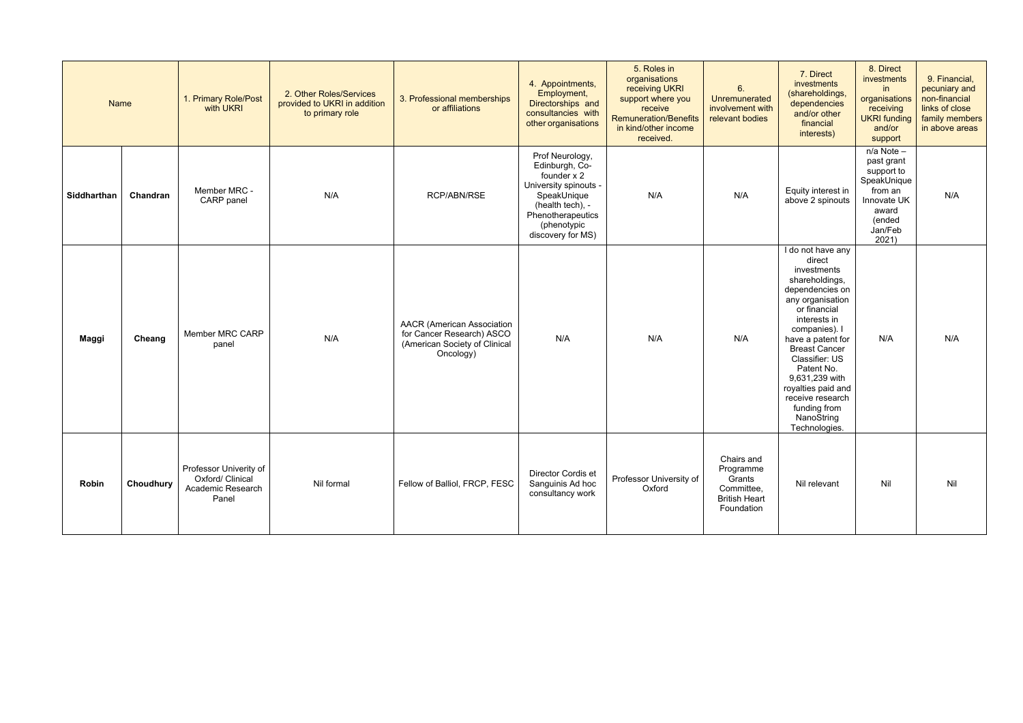| <b>Name</b> |           | 1. Primary Role/Post<br>with UKRI                                        | 2. Other Roles/Services<br>provided to UKRI in addition<br>to primary role | 3. Professional memberships<br>or affiliations                                                               | 4. Appointments,<br>Employment,<br>Directorships and<br>consultancies with<br>other organisations                                                                     | 5. Roles in<br>organisations<br>receiving UKRI<br>support where you<br>receive<br><b>Remuneration/Benefits</b><br>in kind/other income<br>received. | 6.<br>Unremunerated<br>involvement with<br>relevant bodies                            | 7. Direct<br>investments<br>(shareholdings,<br>dependencies<br>and/or other<br>financial<br>interests)                                                                                                                                                                                                                                       | 8. Direct<br>investments<br>in<br>organisations<br>receiving<br><b>UKRI</b> funding<br>and/or<br>support               | 9. Financial,<br>pecuniary and<br>non-financial<br>links of close<br>family members<br>in above areas |
|-------------|-----------|--------------------------------------------------------------------------|----------------------------------------------------------------------------|--------------------------------------------------------------------------------------------------------------|-----------------------------------------------------------------------------------------------------------------------------------------------------------------------|-----------------------------------------------------------------------------------------------------------------------------------------------------|---------------------------------------------------------------------------------------|----------------------------------------------------------------------------------------------------------------------------------------------------------------------------------------------------------------------------------------------------------------------------------------------------------------------------------------------|------------------------------------------------------------------------------------------------------------------------|-------------------------------------------------------------------------------------------------------|
| Siddharthan | Chandran  | Member MRC -<br>CARP panel                                               | N/A                                                                        | RCP/ABN/RSE                                                                                                  | Prof Neurology,<br>Edinburgh, Co-<br>founder x 2<br>University spinouts -<br>SpeakUnique<br>(health tech), -<br>Phenotherapeutics<br>(phenotypic<br>discovery for MS) | N/A                                                                                                                                                 | N/A                                                                                   | Equity interest in<br>above 2 spinouts                                                                                                                                                                                                                                                                                                       | n/a Note -<br>past grant<br>support to<br>SpeakUnique<br>from an<br>Innovate UK<br>award<br>(ended<br>Jan/Feb<br>2021) | N/A                                                                                                   |
| Maggi       | Cheang    | Member MRC CARP<br>panel                                                 | N/A                                                                        | <b>AACR</b> (American Association<br>for Cancer Research) ASCO<br>(American Society of Clinical<br>Oncology) | N/A                                                                                                                                                                   | N/A                                                                                                                                                 | N/A                                                                                   | I do not have any<br>direct<br>investments<br>shareholdings,<br>dependencies on<br>any organisation<br>or financial<br>interests in<br>companies). I<br>have a patent for<br><b>Breast Cancer</b><br>Classifier: US<br>Patent No.<br>9,631,239 with<br>royalties paid and<br>receive research<br>funding from<br>NanoString<br>Technologies. | N/A                                                                                                                    | N/A                                                                                                   |
| Robin       | Choudhury | Professor Univerity of<br>Oxford/ Clinical<br>Academic Research<br>Panel | Nil formal                                                                 | Fellow of Balliol, FRCP, FESC                                                                                | Director Cordis et<br>Sanguinis Ad hoc<br>consultancy work                                                                                                            | Professor University of<br>Oxford                                                                                                                   | Chairs and<br>Programme<br>Grants<br>Committee,<br><b>British Heart</b><br>Foundation | Nil relevant                                                                                                                                                                                                                                                                                                                                 | Nil                                                                                                                    | Nil                                                                                                   |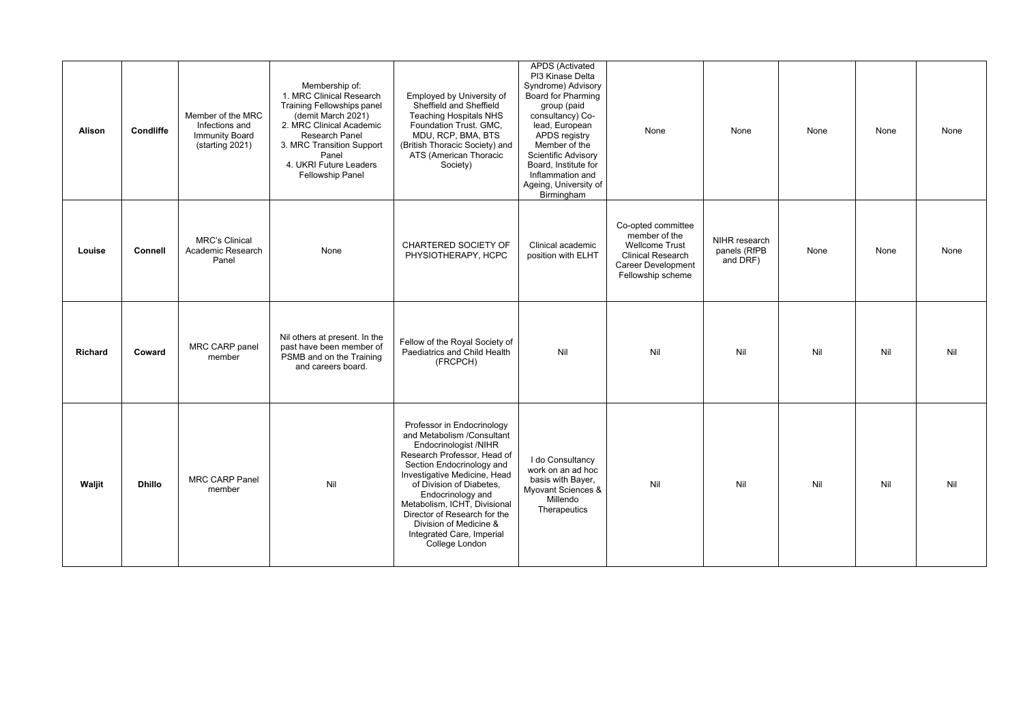| <b>Alison</b>  | <b>Condliffe</b> | Member of the MRC<br>Infections and<br><b>Immunity Board</b><br>(starting 2021) | Membership of:<br>1. MRC Clinical Research<br><b>Training Fellowships panel</b><br>(demit March 2021)<br>2. MRC Clinical Academic<br>Research Panel<br>3. MRC Transition Support<br>Panel<br>4. UKRI Future Leaders<br><b>Fellowship Panel</b> | Employed by University of<br>Sheffield and Sheffield<br><b>Teaching Hospitals NHS</b><br>Foundation Trust. GMC,<br>MDU, RCP, BMA, BTS<br>(British Thoracic Society) and<br>ATS (American Thoracic<br>Society)                                                                                                                                                           | <b>APDS</b> (Activated<br>PI3 Kinase Delta<br>Syndrome) Advisory<br>Board for Pharming<br>group (paid<br>consultancy) Co-<br>lead, European<br>APDS registry<br>Member of the<br>Scientific Advisory<br>Board, Institute for<br>Inflammation and<br>Ageing, University of<br>Birmingham | None                                                                                                                                       | None                                      | None | None | None |
|----------------|------------------|---------------------------------------------------------------------------------|------------------------------------------------------------------------------------------------------------------------------------------------------------------------------------------------------------------------------------------------|-------------------------------------------------------------------------------------------------------------------------------------------------------------------------------------------------------------------------------------------------------------------------------------------------------------------------------------------------------------------------|-----------------------------------------------------------------------------------------------------------------------------------------------------------------------------------------------------------------------------------------------------------------------------------------|--------------------------------------------------------------------------------------------------------------------------------------------|-------------------------------------------|------|------|------|
| Louise         | <b>Connell</b>   | <b>MRC's Clinical</b><br>Academic Research<br>Panel                             | None                                                                                                                                                                                                                                           | CHARTERED SOCIETY OF<br>PHYSIOTHERAPY, HCPC                                                                                                                                                                                                                                                                                                                             | Clinical academic<br>position with ELHT                                                                                                                                                                                                                                                 | Co-opted committee<br>member of the<br><b>Wellcome Trust</b><br><b>Clinical Research</b><br><b>Career Development</b><br>Fellowship scheme | NIHR research<br>panels (RfPB<br>and DRF) | None | None | None |
| <b>Richard</b> | Coward           | MRC CARP panel<br>member                                                        | Nil others at present. In the<br>past have been member of<br>PSMB and on the Training<br>and careers board.                                                                                                                                    | Fellow of the Royal Society of<br>Paediatrics and Child Health<br>(FRCPCH)                                                                                                                                                                                                                                                                                              | Nil                                                                                                                                                                                                                                                                                     | Nil                                                                                                                                        | Nil                                       | Nil  | Nil  | Nil  |
| Waljit         | <b>Dhillo</b>    | <b>MRC CARP Panel</b><br>member                                                 | Nil                                                                                                                                                                                                                                            | Professor in Endocrinology<br>and Metabolism /Consultant<br>Endocrinologist /NIHR<br>Research Professor, Head of<br>Section Endocrinology and<br>Investigative Medicine, Head<br>of Division of Diabetes,<br>Endocrinology and<br>Metabolism, ICHT, Divisional<br>Director of Research for the<br>Division of Medicine &<br>Integrated Care, Imperial<br>College London | I do Consultancy<br>work on an ad hoc<br>basis with Bayer,<br>Myovant Sciences &<br>Millendo<br>Therapeutics                                                                                                                                                                            | Nil                                                                                                                                        | Nil                                       | Nil  | Nil  | Nil  |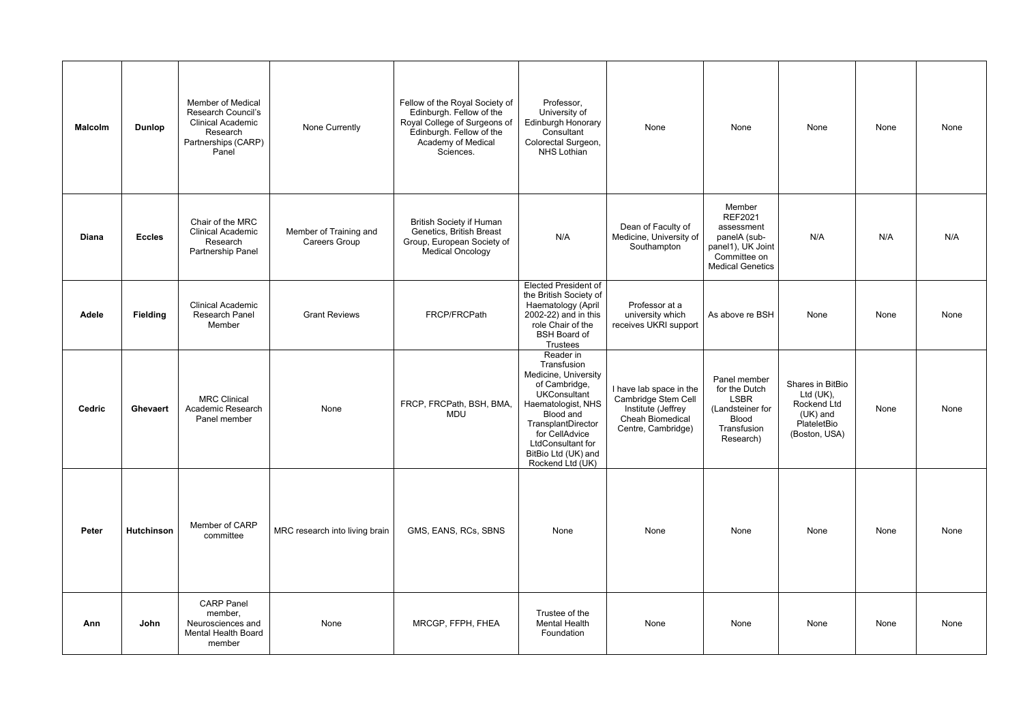| <b>Malcolm</b> | <b>Dunlop</b>     | <b>Member of Medical</b><br>Research Council's<br><b>Clinical Academic</b><br>Research<br>Partnerships (CARP)<br>Panel | None Currently                          | Fellow of the Royal Society of<br>Edinburgh. Fellow of the<br>Royal College of Surgeons of<br>Edinburgh. Fellow of the<br>Academy of Medical<br>Sciences. | Professor,<br>University of<br>Edinburgh Honorary<br>Consultant<br>Colorectal Surgeon,<br><b>NHS Lothian</b>                                                                                                                        | None                                                                                                           | None                                                                                                                   | None                                                                                       | None | None |
|----------------|-------------------|------------------------------------------------------------------------------------------------------------------------|-----------------------------------------|-----------------------------------------------------------------------------------------------------------------------------------------------------------|-------------------------------------------------------------------------------------------------------------------------------------------------------------------------------------------------------------------------------------|----------------------------------------------------------------------------------------------------------------|------------------------------------------------------------------------------------------------------------------------|--------------------------------------------------------------------------------------------|------|------|
| <b>Diana</b>   | <b>Eccles</b>     | Chair of the MRC<br><b>Clinical Academic</b><br>Research<br>Partnership Panel                                          | Member of Training and<br>Careers Group | <b>British Society if Human</b><br>Genetics, British Breast<br>Group, European Society of<br><b>Medical Oncology</b>                                      | N/A                                                                                                                                                                                                                                 | Dean of Faculty of<br>Medicine, University of<br>Southampton                                                   | Member<br><b>REF2021</b><br>assessment<br>panelA (sub-<br>panel1), UK Joint<br>Committee on<br><b>Medical Genetics</b> | N/A                                                                                        | N/A  | N/A  |
| <b>Adele</b>   | <b>Fielding</b>   | <b>Clinical Academic</b><br>Research Panel<br>Member                                                                   | <b>Grant Reviews</b>                    | FRCP/FRCPath                                                                                                                                              | <b>Elected President of</b><br>the British Society of<br>Haematology (April<br>2002-22) and in this<br>role Chair of the<br><b>BSH Board of</b><br><b>Trustees</b>                                                                  | Professor at a<br>university which<br>receives UKRI support                                                    | As above re BSH                                                                                                        | None                                                                                       | None | None |
| Cedric         | Ghevaert          | <b>MRC Clinical</b><br>Academic Research<br>Panel member                                                               | None                                    | FRCP, FRCPath, BSH, BMA,<br><b>MDU</b>                                                                                                                    | Reader in<br>Transfusion<br>Medicine, University<br>of Cambridge,<br><b>UKConsultant</b><br>Haematologist, NHS<br>Blood and<br>TransplantDirector<br>for CellAdvice<br>LtdConsultant for<br>BitBio Ltd (UK) and<br>Rockend Ltd (UK) | I have lab space in the<br>Cambridge Stem Cell<br>Institute (Jeffrey<br>Cheah Biomedical<br>Centre, Cambridge) | Panel member<br>for the Dutch<br><b>LSBR</b><br>(Landsteiner for<br><b>Blood</b><br>Transfusion<br>Research)           | Shares in BitBio<br>Ltd (UK),<br>Rockend Ltd<br>$(UK)$ and<br>PlateletBio<br>(Boston, USA) | None | None |
| Peter          | <b>Hutchinson</b> | Member of CARP<br>committee                                                                                            | MRC research into living brain          | GMS, EANS, RCs, SBNS                                                                                                                                      | None                                                                                                                                                                                                                                | None                                                                                                           | None                                                                                                                   | None                                                                                       | None | None |
| Ann            | John              | <b>CARP Panel</b><br>member,<br>Neurosciences and<br><b>Mental Health Board</b><br>member                              | None                                    | MRCGP, FFPH, FHEA                                                                                                                                         | Trustee of the<br><b>Mental Health</b><br>Foundation                                                                                                                                                                                | None                                                                                                           | None                                                                                                                   | None                                                                                       | None | None |